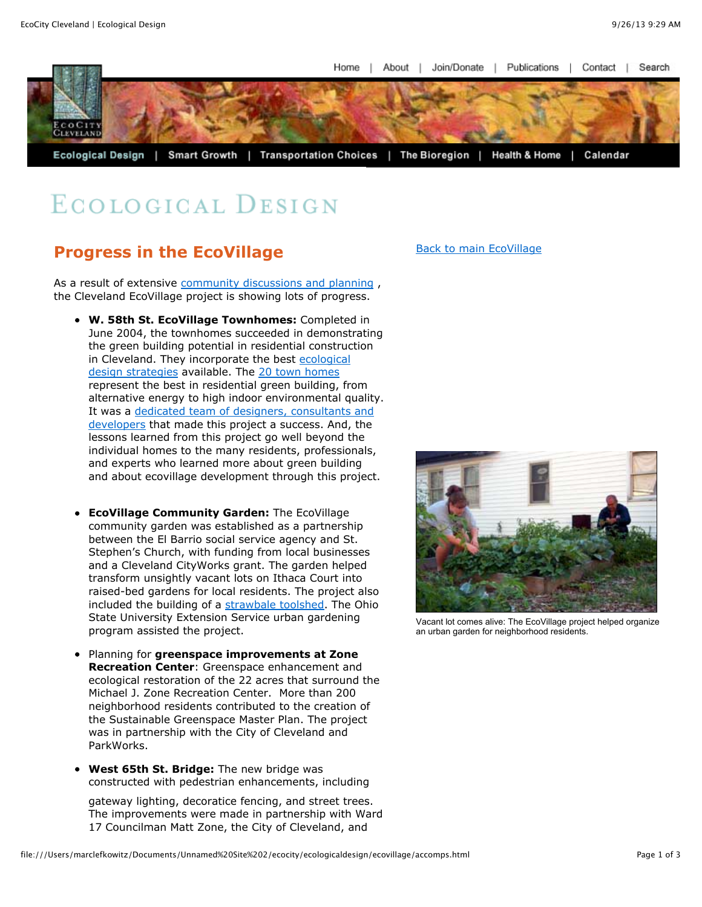Home I About I Join/Donate I Publications | Contact J. Search



## ECOLOGICAL DESIGN

## **Progress in the EcoVillage**

As a result of extensive community discussions and planning, the Cleveland EcoVillage project is showing lots of progress.

- **W. 58th St. EcoVillage Townhomes:** Completed in June 2004, the townhomes succeeded in demonstrating the green building potential in residential construction [in Cleveland. They incorporate the best ecological](file:///Users/marclefkowitz/Documents/Unnamed%20Site%202/ecocity/ecologicaldesign/ecovillage/town_homes/green_features.html) design strategies available. The [20 town homes](file:///Users/marclefkowitz/Documents/Unnamed%20Site%202/ecocity/ecologicaldesign/ecovillage/town_homes/w58townhome.html) represent the best in residential green building, from alternative energy to high indoor environmental quality. [It was a dedicated team of designers, consultants and](file:///Users/marclefkowitz/Documents/Unnamed%20Site%202/ecocity/ecologicaldesign/ecovillage/eco_creative_team.html) developers that made this project a success. And, the lessons learned from this project go well beyond the individual homes to the many residents, professionals, and experts who learned more about green building and about ecovillage development through this project.
- **EcoVillage Community Garden:** The EcoVillage community garden was established as a partnership between the El Barrio social service agency and St. Stephen's Church, with funding from local businesses and a Cleveland CityWorks grant. The garden helped transform unsightly vacant lots on Ithaca Court into raised-bed gardens for local residents. The project also included the building of a [strawbale toolshed.](file:///Users/marclefkowitz/Documents/Unnamed%20Site%202/ecocity/ecologicaldesign/ecovillage/strawbale_toolshed.html) The Ohio State University Extension Service urban gardening program assisted the project.
- Planning for **greenspace improvements at Zone Recreation Center**: Greenspace enhancement and ecological restoration of the 22 acres that surround the Michael J. Zone Recreation Center. More than 200 neighborhood residents contributed to the creation of the Sustainable Greenspace Master Plan. The project was in partnership with the City of Cleveland and ParkWorks.
- **West 65th St. Bridge:** The new bridge was constructed with pedestrian enhancements, including

gateway lighting, decoratice fencing, and street trees. The improvements were made in partnership with Ward 17 Councilman Matt Zone, the City of Cleveland, and

[Back to main EcoVillage](file:///Users/marclefkowitz/Documents/Unnamed%20Site%202/ecocity/ecologicaldesign/ecovillage/intro_ecovillage.html)



Vacant lot comes alive: The EcoVillage project helped organize an urban garden for neighborhood residents.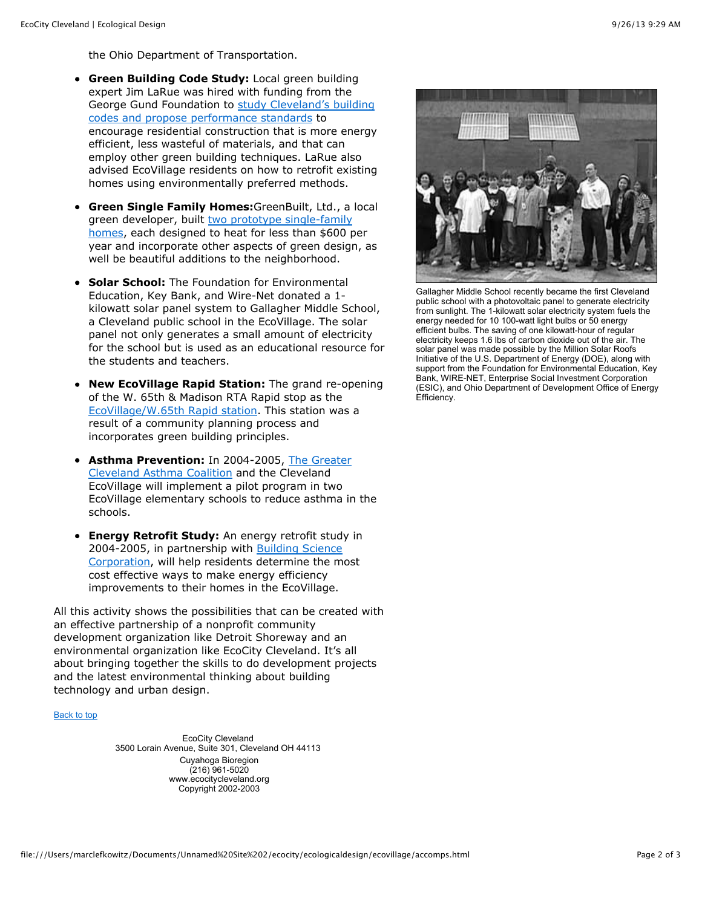the Ohio Department of Transportation.

- **Green Building Code Study:** Local green building expert Jim LaRue was hired with funding from the [George Gund Foundation to study Cleveland's building](file:///greenbuilding/greenbuilding/codereform.html) codes and propose performance standards to encourage residential construction that is more energy efficient, less wasteful of materials, and that can employ other green building techniques. LaRue also advised EcoVillage residents on how to retrofit existing homes using environmentally preferred methods.
- **Green Single Family Homes:**GreenBuilt, Ltd., a local green developer, built two prototype single-family [homes, each designed to heat for less than \\$600 p](file:///Users/marclefkowitz/Documents/Unnamed%20Site%202/ecocity/ecologicaldesign/ecovillage/greenbuilt_w54.html)er year and incorporate other aspects of green design, as well be beautiful additions to the neighborhood.
- **Solar School:** The Foundation for Environmental Education, Key Bank, and Wire-Net donated a 1 kilowatt solar panel system to Gallagher Middle School, a Cleveland public school in the EcoVillage. The solar panel not only generates a small amount of electricity for the school but is used as an educational resource for the students and teachers.
- **New EcoVillage Rapid Station:** The grand re-opening of the W. 65th & Madison RTA Rapid stop as the [EcoVillage/W.65th Rapid station.](file:///Users/marclefkowitz/Documents/Unnamed%20Site%202/ecocity/ecologicaldesign/ecovillage/rapid/rta.html) This station was a result of a community planning process and incorporates green building principles.
- **Asthma Prevention:** In 2004-2005, The Greater [Cleveland Asthma Coalition and the Cleveland](http://www.lungusa.org/atf/cf/%7B7A8D42C2-FCCA-4604-8ADE-7F5D5E762256%7D/asfi2007pg41.pdf) EcoVillage will implement a pilot program in two EcoVillage elementary schools to reduce asthma in the schools.
- **Energy Retrofit Study:** An energy retrofit study in 2004-2005, in partnership with **Building Science** [Corporation, will help residents determine the m](http://www.buildingscience.com/)ost cost effective ways to make energy efficiency improvements to their homes in the EcoVillage.

All this activity shows the possibilities that can be created with an effective partnership of a nonprofit community development organization like Detroit Shoreway and an environmental organization like EcoCity Cleveland. It's all about bringing together the skills to do development projects and the latest environmental thinking about building technology and urban design.

## [Back to top](file:///Users/marclefkowitz/Documents/Unnamed%20Site%202/ecocity/ecologicaldesign/ecovillage/accomps.html#top)

EcoCity Cleveland 3500 Lorain Avenue, Suite 301, Cleveland OH 44113 Cuyahoga Bioregion (216) 961-5020 www.ecocitycleveland.org Copyright 2002-2003



Gallagher Middle School recently became the first Cleveland public school with a photovoltaic panel to generate electricity from sunlight. The 1-kilowatt solar electricity system fuels the energy needed for 10 100-watt light bulbs or 50 energy efficient bulbs. The saving of one kilowatt-hour of regular electricity keeps 1.6 lbs of carbon dioxide out of the air. The solar panel was made possible by the Million Solar Roofs Initiative of the U.S. Department of Energy (DOE), along with support from the Foundation for Environmental Education, Key Bank, WIRE-NET, Enterprise Social Investment Corporation (ESIC), and Ohio Department of Development Office of Energy Efficiency.